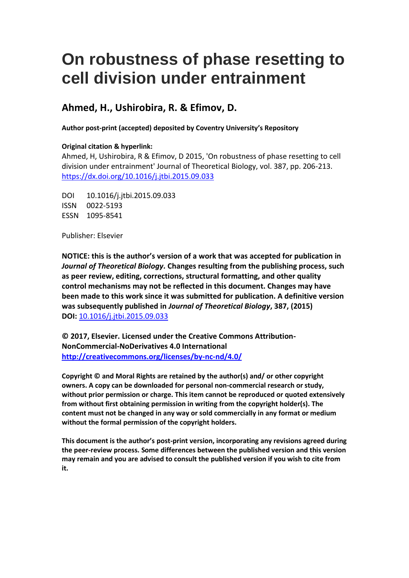# **On robustness of phase resetting to cell division under entrainment**

### **Ahmed, H., Ushirobira, R. & Efimov, D.**

**Author post-print (accepted) deposited by Coventry University's Repository**

### **Original citation & hyperlink:**

Ahmed, H, Ushirobira, R & Efimov, D 2015, 'On robustness of phase resetting to cell division under entrainment' Journal of Theoretical Biology, vol. 387, pp. 206-213. <https://dx.doi.org/10.1016/j.jtbi.2015.09.033>

DOI 10.1016/j.jtbi.2015.09.033 ISSN 0022-5193 ESSN 1095-8541

Publisher: Elsevier

**NOTICE: this is the author's version of a work that was accepted for publication in**  *Journal of Theoretical Biology.* **Changes resulting from the publishing process, such as peer review, editing, corrections, structural formatting, and other quality control mechanisms may not be reflected in this document. Changes may have been made to this work since it was submitted for publication. A definitive version was subsequently published in** *Journal of Theoretical Biology***, 387, (2015) DOI:** [10.1016/j.jtbi.2015.09.033](https://doi.org/10.1016/j.jtbi.2015.09.033)

**© 2017, Elsevier. Licensed under the Creative Commons Attribution-NonCommercial-NoDerivatives 4.0 International <http://creativecommons.org/licenses/by-nc-nd/4.0/>**

**Copyright © and Moral Rights are retained by the author(s) and/ or other copyright owners. A copy can be downloaded for personal non-commercial research or study, without prior permission or charge. This item cannot be reproduced or quoted extensively from without first obtaining permission in writing from the copyright holder(s). The content must not be changed in any way or sold commercially in any format or medium without the formal permission of the copyright holders.** 

**This document is the author's post-print version, incorporating any revisions agreed during the peer-review process. Some differences between the published version and this version may remain and you are advised to consult the published version if you wish to cite from it.**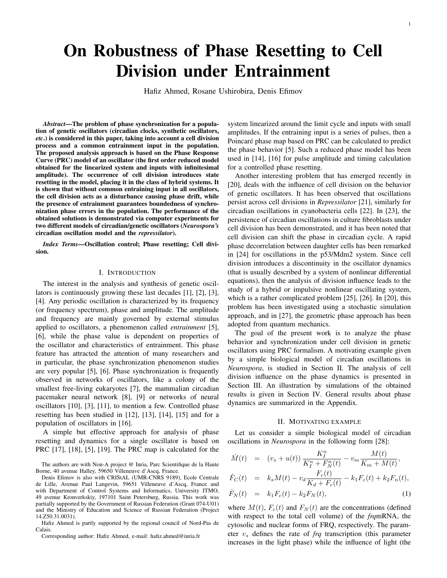## On Robustness of Phase Resetting to Cell Division under Entrainment

Hafiz Ahmed, Rosane Ushirobira, Denis Efimov

*Abstract*—The problem of phase synchronization for a population of genetic oscillators (circadian clocks, synthetic oscillators, *etc*.) is considered in this paper, taking into account a cell division process and a common entrainment input in the population. The proposed analysis approach is based on the Phase Response Curve (PRC) model of an oscillator (the first order reduced model obtained for the linearized system and inputs with infinitesimal amplitude). The occurrence of cell division introduces state resetting in the model, placing it in the class of hybrid systems. It is shown that without common entraining input in all oscillators, the cell division acts as a disturbance causing phase drift, while the presence of entrainment guarantees boundedness of synchronization phase errors in the population. The performance of the obtained solutions is demonstrated via computer experiments for two different models of circadian/genetic oscillators (*Neurospora's* circadian oscillation model and the *repressilator*).

*Index Terms*—Oscillation control; Phase resetting; Cell division.

#### I. INTRODUCTION

The interest in the analysis and synthesis of genetic oscillators is continuously growing these last decades [1], [2], [3], [4]. Any periodic oscillation is characterized by its frequency (or frequency spectrum), phase and amplitude. The amplitude and frequency are mainly governed by external stimulus applied to oscillators, a phenomenon called *entrainment* [5], [6], while the phase value is dependent on properties of the oscillator and characteristics of entrainment. This phase feature has attracted the attention of many researchers and in particular, the phase synchronization phenomenon studies are very popular [5], [6]. Phase synchronization is frequently observed in networks of oscillators, like a colony of the smallest free-living eukaryotes [7], the mammalian circadian pacemaker neural network [8], [9] or networks of neural oscillators [10], [3], [11], to mention a few. Controlled phase resetting has been studied in [12], [13], [14], [15] and for a population of oscillators in [16].

A simple but effective approach for analysis of phase resetting and dynamics for a single oscillator is based on PRC [17], [18], [5], [19]. The PRC map is calculated for the

The authors are with Non-A project @ Inria, Parc Scientifique de la Haute Borne, 40 avenue Halley, 59650 Villeneuve d'Ascq, France.

Denis Efimov is also with CRIStAL (UMR-CNRS 9189), Ecole Centrale de Lille, Avenue Paul Langevin, 59651 Villeneuve d'Ascq, France and with Department of Control Systems and Informatics, University ITMO, 49 avenue Kronverkskiy, 197101 Saint Petersburg, Russia. This work was partially supported by the Government of Russian Federation (Grant 074-U01) and the Ministry of Education and Science of Russian Federation (Project 14.Z50.31.0031).

Hafiz Ahmed is partly supported by the regional council of Nord-Pas de Calais.

Corresponding author: Hafiz Ahmed, e-mail: hafiz.ahmed@inria.fr

system linearized around the limit cycle and inputs with small amplitudes. If the entraining input is a series of pulses, then a Poincaré phase map based on PRC can be calculated to predict the phase behavior [5]. Such a reduced phase model has been used in [14], [16] for pulse amplitude and timing calculation for a controlled phase resetting.

Another interesting problem that has emerged recently in [20], deals with the influence of cell division on the behavior of genetic oscillators. It has been observed that oscillations persist across cell divisions in *Repressilator* [21], similarly for circadian oscillations in cyanobacteria cells [22]. In [23], the persistence of circadian oscillations in culture fibroblasts under cell division has been demonstrated, and it has been noted that cell division can shift the phase in circadian cycle. A rapid phase decorrelation between daughter cells has been remarked in [24] for oscillations in the p53/Mdm2 system. Since cell division introduces a discontinuity in the oscillator dynamics (that is usually described by a system of nonlinear differential equations), then the analysis of division influence leads to the study of a hybrid or impulsive nonlinear oscillating system, which is a rather complicated problem [25], [26]. In [20], this problem has been investigated using a stochastic simulation approach, and in [27], the geometric phase approach has been adopted from quantum mechanics.

The goal of the present work is to analyze the phase behavior and synchronization under cell division in genetic oscillators using PRC formalism. A motivating example given by a simple biological model of circadian oscillations in *Neurospora*, is studied in Section II. The analysis of cell division influence on the phase dynamics is presented in Section III. An illustration by simulations of the obtained results is given in Section IV. General results about phase dynamics are summarized in the Appendix.

#### II. MOTIVATING EXAMPLE

Let us consider a simple biological model of circadian oscillations in *Neurospora* in the following form [28]:

$$
\dot{M}(t) = (v_s + u(t)) \frac{K_I^n}{K_I^n + F_N^n(t)} - v_m \frac{M(t)}{K_m + M(t)},
$$

$$
\dot{F}_C(t) = k_s M(t) - v_d \frac{F_c(t)}{K_d + F_c(t)} - k_1 F_c(t) + k_2 F_n(t),
$$

$$
\dot{F}_N(t) = k_1 F_c(t) - k_2 F_N(t), \tag{1}
$$

where  $M(t)$ ,  $F_c(t)$  and  $F_N(t)$  are the concentrations (defined with respect to the total cell volume) of the *frq*mRNA, the cytosolic and nuclear forms of FRQ, respectively. The parameter  $v<sub>s</sub>$  defines the rate of  $frq$  transcription (this parameter increases in the light phase) while the influence of light (the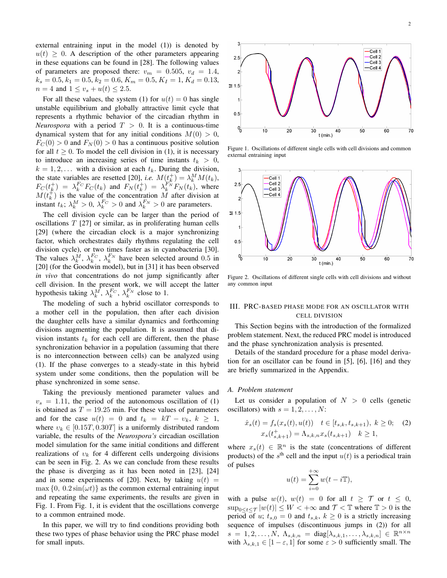external entraining input in the model (1)) is denoted by  $u(t) \geq 0$ . A description of the other parameters appearing in these equations can be found in [28]. The following values of parameters are proposed there:  $v_m = 0.505$ ,  $v_d = 1.4$ ,  $k_s = 0.5, k_1 = 0.5, k_2 = 0.6, K_m = 0.5, K_I = 1, K_d = 0.13,$  $n = 4$  and  $1 \le v_s + u(t) \le 2.5$ .

For all these values, the system (1) for  $u(t) = 0$  has single unstable equilibrium and globally attractive limit cycle that represents a rhythmic behavior of the circadian rhythm in *Neurospora* with a period  $T > 0$ . It is a continuous-time dynamical system that for any initial conditions  $M(0) > 0$ ,  $F_C(0) > 0$  and  $F_N(0) > 0$  has a continuous positive solution for all  $t \geq 0$ . To model the cell division in (1), it is necessary to introduce an increasing series of time instants  $t_k > 0$ ,  $k = 1, 2, \ldots$  with a division at each  $t_k$ . During the division, the state variables are resetted [20], *i.e.*  $M(t_k^+) = \lambda_k^M M(t_k)$ ,  $F_C(t_k^+) = \lambda_k^{F_C} F_C(t_k)$  and  $F_N(t_k^+) = \lambda_k^{F_N} F_N(t_k)$ , where  $M(t_k^+)$  is the value of the concentration M after division at instant  $t_k$ ;  $\lambda_k^M > 0$ ,  $\lambda_k^{F_C} > 0$  and  $\lambda_k^{F_N} > 0$  are parameters.

The cell division cycle can be larger than the period of oscillations  $T$  [27] or similar, as in proliferating human cells [29] (where the circadian clock is a major synchronizing factor, which orchestrates daily rhythms regulating the cell division cycle), or two times faster as in cyanobacteria [30]. The values  $\lambda_k^M$ ,  $\lambda_k^{F_C}$ ,  $\lambda_k^{F_N}$  have been selected around 0.5 in [20] (for the Goodwin model), but in [31] it has been observed *in vivo* that concentrations do not jump significantly after cell division. In the present work, we will accept the latter hypothesis taking  $\lambda_k^M$ ,  $\lambda_k^{F_C}$ ,  $\lambda_k^{F_N}$  close to 1.

The modeling of such a hybrid oscillator corresponds to a mother cell in the population, then after each division the daughter cells have a similar dynamics and forthcoming divisions augmenting the population. It is assumed that division instants  $t_k$  for each cell are different, then the phase synchronization behavior in a population (assuming that there is no interconnection between cells) can be analyzed using (1). If the phase converges to a steady-state in this hybrid system under some conditions, then the population will be phase synchronized in some sense.

Taking the previously mentioned parameter values and  $v<sub>s</sub> = 1.11$ , the period of the autonomous oscillation of (1) is obtained as  $T = 19.25$  min. For these values of parameters and for the case  $u(t) = 0$  and  $t_k = kT - v_k$ ,  $k \ge 1$ , where  $v_k \in [0.15T, 0.30T]$  is a uniformly distributed random variable, the results of the *Neurospora's* circadian oscillation model simulation for the same initial conditions and different realizations of  $v_k$  for 4 different cells undergoing divisions can be seen in Fig. 2. As we can conclude from these results the phase is diverging as it has been noted in [23], [24] and in some experiments of [20]. Next, by taking  $u(t)$  =  $\max\{0, 0.2\sin(\omega t)\}\$ as the common external entraining input and repeating the same experiments, the results are given in Fig. 1. From Fig. 1, it is evident that the oscillations converge to a common entrained mode.

In this paper, we will try to find conditions providing both these two types of phase behavior using the PRC phase model for small inputs.



Figure 1. Oscillations of different single cells with cell divisions and common external entraining input



Figure 2. Oscillations of different single cells with cell divisions and without any common input

#### III. PRC-BASED PHASE MODE FOR AN OSCILLATOR WITH CELL DIVISION

This Section begins with the introduction of the formalized problem statement. Next, the reduced PRC model is introduced and the phase synchronization analysis is presented.

Details of the standard procedure for a phase model derivation for an oscillator can be found in [5], [6], [16] and they are briefly summarized in the Appendix.

#### *A. Problem statement*

Let us consider a population of  $N > 0$  cells (genetic oscillators) with  $s = 1, 2, \ldots, N$ :

$$
\dot{x}_s(t) = f_s(x_s(t), u(t)) \quad t \in [t_{s,k}, t_{s,k+1}), \ k \ge 0; \quad (2)
$$

$$
x_s(t_{s,k+1}^+) = \Lambda_{s,k,n} x_s(t_{s,k+1}) \quad k \ge 1,
$$

where  $x_s(t) \in \mathbb{R}^n$  is the state (concentrations of different products) of the  $s<sup>th</sup>$  cell and the input  $u(t)$  is a periodical train of pulses

$$
u(t) = \sum_{i=0}^{+\infty} w(t - i\mathbb{T}),
$$

with a pulse  $w(t)$ ,  $w(t) = 0$  for all  $t \geq \mathcal{T}$  or  $t \leq 0$ ,  $\sup_{0 \le t \le \tau} |w(t)| \le W < +\infty$  and  $\tau < \mathbb{T}$  where  $\mathbb{T} > 0$  is the period of u;  $t_{s,0} = 0$  and  $t_{s,k}$ ,  $k \ge 0$  is a strictly increasing sequence of impulses (discontinuous jumps in (2)) for all  $s = 1, 2, \ldots, N, \ \Lambda_{s,k,n} = \text{diag}[\lambda_{s,k,1}, \ldots, \lambda_{s,k,n}] \in \mathbb{R}^{n \times n}$ with  $\lambda_{s,k,1} \in [1-\varepsilon, 1]$  for some  $\varepsilon > 0$  sufficiently small. The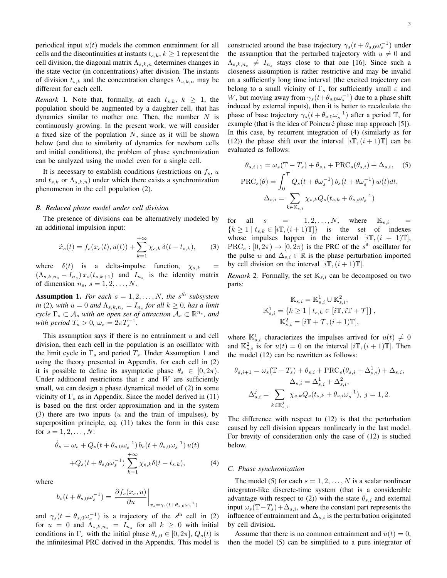periodical input  $u(t)$  models the common entrainment for all cells and the discontinuities at instants  $t_{s,k}$ ,  $k \geq 1$  represent the cell division, the diagonal matrix  $\Lambda_{s,k,n}$  determines changes in the state vector (in concentrations) after division. The instants of division  $t_{s,k}$  and the concentration changes  $\Lambda_{s,k,n}$  may be different for each cell.

*Remark* 1. Note that, formally, at each  $t_{s,k}$ ,  $k \geq 1$ , the population should be augmented by a daughter cell, that has dynamics similar to mother one. Then, the number  $N$  is continuously growing. In the present work, we will consider a fixed size of the population  $N$ , since as it will be shown below (and due to similarity of dynamics for newborn cells and initial conditions), the problem of phase synchronization can be analyzed using the model even for a single cell.

It is necessary to establish conditions (restrictions on  $f_s$ , u and  $t_{s,k}$  or  $\Lambda_{s,k,n}$ ) under which there exists a synchronization phenomenon in the cell population (2).

#### *B. Reduced phase model under cell division*

The presence of divisions can be alternatively modeled by an additional impulsion input:

$$
\dot{x}_s(t) = f_s(x_s(t), u(t)) + \sum_{k=1}^{+\infty} \chi_{s,k} \,\delta(t - t_{s,k}),\tag{3}
$$

where  $\delta(t)$  is a delta-impulse function,  $\chi_{s,k}$  $(\Lambda_{s,k,n_s} - I_{n_s}) x_s(t_{s,k+1})$  and  $I_{n_s}$  is the identity matrix of dimension  $n_s$ ,  $s = 1, 2, \ldots, N$ .

**Assumption 1.** For each  $s = 1, 2, \ldots, N$ , the s<sup>th</sup> subsystem *in* (2), with  $u = 0$  and  $\Lambda_{s,k,n_s} = I_{n_s}$  for all  $k \geq 0$ , has a limit  $\sigma$ *cycle*  $\Gamma_s \subset A_s$  *with an open set of attraction*  $A_s \subset \mathbb{R}^{n_s}$ *, and with period*  $T_s > 0$ ,  $\omega_s = 2\pi T_s^{-1}$ .

This assumption says if there is no entrainment  $u$  and cell division, then each cell in the population is an oscillator with the limit cycle in  $\Gamma_s$  and period  $T_s$ . Under Assumption 1 and using the theory presented in Appendix, for each cell in (2) it is possible to define its asymptotic phase  $\theta_s \in [0, 2\pi)$ . Under additional restrictions that  $\varepsilon$  and W are sufficiently small, we can design a phase dynamical model of (2) in some vicinity of  $\Gamma_s$  as in Appendix. Since the model derived in (11) is based on the first order approximation and in the system (3) there are two inputs  $(u$  and the train of impulses), by superposition principle, eq. (11) takes the form in this case for  $s = 1, 2, ..., N$ :

$$
\dot{\theta}_s = \omega_s + Q_s(t + \theta_{s,0}\omega_s^{-1}) b_s(t + \theta_{s,0}\omega_s^{-1}) u(t) + Q_s(t + \theta_{s,0}\omega_s^{-1}) \sum_{k=1}^{+\infty} \chi_{s,k} \delta(t - t_{s,k}),
$$
(4)

where

$$
b_s(t + \theta_{s,0}\omega_s^{-1}) = \left. \frac{\partial f_s(x_s, u)}{\partial u} \right|_{x_s = \gamma_s(t + \theta_{s,0}\omega_s^{-1})}
$$

and  $\gamma_s(t + \theta_{s,0}\omega_s^{-1})$  is a trajectory of the s<sup>th</sup> cell in (2) for  $u = 0$  and  $\Lambda_{s,k,n_s} = I_{n_s}$  for all  $k \geq 0$  with initial conditions in  $\Gamma_s$  with the initial phase  $\theta_{s,0} \in [0, 2\pi]$ ,  $Q_s(t)$  is the infinitesimal PRC derived in the Appendix. This model is 3

constructed around the base trajectory  $\gamma_s(t + \theta_{s,0}\omega_s^{-1})$  under the assumption that the perturbed trajectory with  $u \neq 0$  and  $\Lambda_{s,k,n_s} \neq I_{n_s}$  stays close to that one [16]. Since such a closeness assumption is rather restrictive and may be invalid on a sufficiently long time interval (the excited trajectory can belong to a small vicinity of  $\Gamma_s$  for sufficiently small  $\varepsilon$  and W, but moving away from  $\gamma_s(t+\theta_{s,0}\omega_s^{-1})$  due to a phase shift induced by external inputs), then it is better to recalculate the phase of base trajectory  $\gamma_s(t + \theta_{s,0} \omega_s^{-1})$  after a period  $\mathbb{T}$ , for example (that is the idea of Poincaré phase map approach [5]). In this case, by recurrent integration of (4) (similarly as for (12)) the phase shift over the interval  $[i\mathbb{T},(i+1)\mathbb{T}]$  can be evaluated as follows:

$$
\theta_{s,i+1} = \omega_s (\mathbb{T} - T_s) + \theta_{s,i} + \text{PRC}_s(\theta_{s,i}) + \Delta_{s,i}, \quad (5)
$$

$$
\text{PRC}_s(\theta) = \int_0^{\mathcal{T}} Q_s(t + \theta \omega_s^{-1}) b_s(t + \theta \omega_s^{-1}) w(t) dt,
$$

$$
\Delta_{s,i} = \sum_{k \in \mathbb{K}_{s,i}} \chi_{s,k} Q_s(t_{s,k} + \theta_{s,i} \omega_s^{-1})
$$

for all  $s = 1, 2, ..., N$ , where  $\mathbb{K}_{s,i}$  ${k \geq 1 | t_{s,k} \in [i\mathbb{T}, (i+1)\mathbb{T}] }$  is the set of indexes whose impulses happen in the interval  $[i\mathbb{T}, (i + 1)\mathbb{T}]$ ,  $PRC_s : [0, 2\pi) \rightarrow [0, 2\pi)$  is the PRC of the s<sup>th</sup> oscillator for the pulse w and  $\Delta_{s,i} \in \mathbb{R}$  is the phase perturbation imported by cell division on the interval  $[i\mathbb{T},(i+1)\mathbb{T}]$ .

*Remark* 2. Formally, the set  $\mathbb{K}_{s,i}$  can be decomposed on two parts:

$$
\mathbb{K}_{s,i} = \mathbb{K}_{s,i}^1 \cup \mathbb{K}_{s,i}^2,
$$
  

$$
\mathbb{K}_{s,i}^1 = \{k \ge 1 \mid t_{s,k} \in [i\mathbb{T}, i\mathbb{T} + \mathcal{T}]\},
$$
  

$$
\mathbb{K}_{s,i}^2 = [i\mathbb{T} + \mathcal{T}, (i+1)\mathbb{T}],
$$

where  $\mathbb{K}^1_{s,i}$  characterizes the impulses arrived for  $u(t) \neq 0$ and  $\mathbb{K}_{s,i}^2$  is for  $u(t) = 0$  on the interval  $[i\mathbb{T}, (i+1)\mathbb{T}]$ . Then the model (12) can be rewritten as follows:

$$
\theta_{s,i+1} = \omega_s (\mathbb{T} - T_s) + \theta_{s,i} + \text{PRC}_s(\theta_{s,i} + \Delta_{s,i}^1) + \Delta_{s,i},
$$

$$
\Delta_{s,i} = \Delta_{s,i}^1 + \Delta_{s,i}^2,
$$

$$
\Delta_{s,i}^j = \sum_{k \in \mathbb{K}_{s,i}^j} \chi_{s,k} Q_s(t_{s,k} + \theta_{s,i} \omega_s^{-1}), \ j = 1, 2.
$$

The difference with respect to (12) is that the perturbation caused by cell division appears nonlinearly in the last model. For brevity of consideration only the case of (12) is studied below.

#### *C. Phase synchronization*

The model (5) for each  $s = 1, 2, ..., N$  is a scalar nonlinear integrator-like discrete-time system (that is a considerable advantage with respect to (2)) with the state  $\theta_{s,i}$  and external input  $\omega_s(\mathbb{T}-T_s)+\Delta_{s,i}$ , where the constant part represents the influence of entrainment and  $\Delta_{s,i}$  is the perturbation originated by cell division.

Assume that there is no common entrainment and  $u(t) = 0$ , then the model (5) can be simplified to a pure integrator of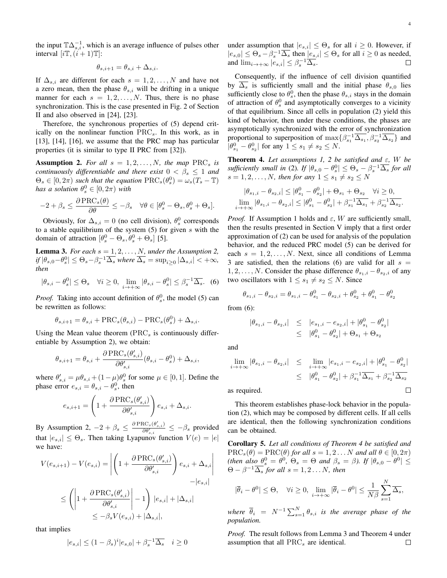the input  $\mathbb{T}\Delta_{s,i}^{-1}$ , which is an average influence of pulses other

$$
\theta_{s,i+1} = \theta_{s,i} + \Delta_{s,i}.
$$

interval  $[i\mathbb{T}, (i+1)\mathbb{T}]$ :

If  $\Delta_{s,i}$  are different for each  $s = 1, 2, ..., N$  and have not a zero mean, then the phase  $\theta_{s,i}$  will be drifting in a unique manner for each  $s = 1, 2, ..., N$ . Thus, there is no phase synchronization. This is the case presented in Fig. 2 of Section II and also observed in [24], [23].

Therefore, the synchronous properties of (5) depend critically on the nonlinear function  $PRC_s$ . In this work, as in [13], [14], [16], we assume that the PRC map has particular properties (it is similar to type II PRC from [32]).

Assumption 2. For all  $s = 1, 2, ..., N$ , the map PRC<sub>s</sub> is *continuously differentiable and there exist*  $0 < \beta_s \leq 1$  *and*  $\Theta_s \in [0, 2\pi)$  *such that the equation*  $\text{PRC}_s(\theta_s^0) = \omega_s(T_s - \mathbb{I})$ *has a solution*  $\theta_s^0 \in [0, 2\pi)$  *with* 

$$
-2 + \beta_s \leq \frac{\partial \text{PRC}_s(\theta)}{\partial \theta} \leq -\beta_s \quad \forall \theta \in [\theta_s^0 - \Theta_s, \theta_s^0 + \Theta_s].
$$

Obviously, for  $\Delta_{s,i} = 0$  (no cell division),  $\theta_s^0$  corresponds to a stable equilibrium of the system  $(5)$  for given s with the domain of attraction  $[\theta_s^0 - \Theta_s, \theta_s^0 + \Theta_s]$  [5].

**Lemma 3.** *For each*  $s = 1, 2, \ldots, N$ *, under the Assumption 2,*  $|df|\theta_{s,0}-\theta_s^0|\leq \Theta_s-\beta_s^{-1}\overline{\Delta_s}$  where  $\overline{\Delta_s}=\sup_{i\geq 0}|\Delta_{s,i}|<+\infty,$ *then*

$$
|\theta_{s,i} - \theta_s^0| \le \Theta_s \quad \forall i \ge 0, \ \lim_{i \to +\infty} |\theta_{s,i} - \theta_s^0| \le \beta_s^{-1} \overline{\Delta_s}.
$$
 (6)

*Proof.* Taking into account definition of  $\theta_s^0$ , the model (5) can be rewritten as follows:

$$
\theta_{s,i+1} = \theta_{s,i} + \text{PRC}_s(\theta_{s,i}) - \text{PRC}_s(\theta_s^0) + \Delta_{s,i}.
$$

Using the Mean value theorem  $(PRC<sub>s</sub>$  is continuously differentiable by Assumption 2), we obtain:

$$
\theta_{s,i+1} = \theta_{s,i} + \frac{\partial \text{PRC}_s(\theta_{s,i}')}{\partial \theta_{s,i}'}(\theta_{s,i} - \theta_s^0) + \Delta_{s,i},
$$

where  $\theta'_{s,i} = \mu \theta_{s,i} + (1 - \mu) \theta_s^0$  for some  $\mu \in [0, 1]$ . Define the phase error  $e_{s,i} = \theta_{s,i} - \theta_s^0$ , then

$$
e_{s,i+1} = \left(1 + \frac{\partial \text{PRC}_s(\theta'_{s,i})}{\partial \theta'_{s,i}}\right) e_{s,i} + \Delta_{s,i}.
$$

By Assumption 2,  $-2 + \beta_s \leq \frac{\partial \text{PRC}_{s}(\theta'_{s,i})}{\partial \theta'_{s,i}} \leq -\beta_s$  provided that  $|e_{s,i}| \leq \Theta_s$ . Then taking Lyapunov function  $V(e) = |e|$ we have:

$$
V(e_{s,i+1}) - V(e_{s,i}) = \left| \left( 1 + \frac{\partial \text{PRC}_{s}(\theta'_{s,i})}{\partial \theta'_{s,i}} \right) e_{s,i} + \Delta_{s,i} \right|
$$
  

$$
\leq \left( \left| 1 + \frac{\partial \text{PRC}_{s}(\theta'_{s,i})}{\partial \theta'_{s,i}} \right| - 1 \right) |e_{s,i}| + |\Delta_{s,i}|
$$
  

$$
\leq -\beta_s V(e_{s,i}) + |\Delta_{s,i}|,
$$

that implies

$$
|e_{s,i}| \le (1 - \beta_s)^i |e_{s,0}| + \beta_s^{-1} \overline{\Delta_s} \quad i \ge 0
$$

under assumption that  $|e_{s,i}| \leq \Theta_s$  for all  $i \geq 0$ . However, if  $|e_{s,0}| \leq \Theta_s - \beta_s^{-1} \overline{\Delta_s}$  then  $|e_{s,i}| \leq \Theta_s$  for all  $i \geq 0$  as needed, and  $\lim_{i \to +\infty} |e_{s,i}| \leq \beta_s^{-1} \overline{\Delta_s}.$ □

Consequently, if the influence of cell division quantified by  $\overline{\Delta_s}$  is sufficiently small and the initial phase  $\theta_{s,0}$  lies sufficiently close to  $\theta_s^0$ , then the phase  $\theta_{s,i}$  stays in the domain of attraction of  $\theta_s^0$  and asymptotically converges to a vicinity of that equilibrium. Since all cells in population (2) yield this kind of behavior, then under these conditions, the phases are asymptotically synchronized with the error of synchronization proportional to superposition of  $\max\{\beta_{s_1}^{-1}\overline{\Delta_{s_1}}, \beta_{s_2}^{-1}\overline{\Delta_{s_2}}\}$  and  $|\theta_{s_1}^0 - \theta_{s_2}^0|$  for any  $1 \leq s_1 \neq s_2 \leq N$ .

Theorem 4. *Let assumptions 1, 2 be satisfied and* ε*,* W *be*  $sufficiently small in (2).$  If  $|\theta_{s,0} - \theta_s^0| \leq \Theta_s - \beta_s^{-1} \overline{\Delta_s}$  for all  $s = 1, 2, ..., N$ , then for any  $1 \le s_1 \ne s_2 \le N$ 

$$
|\theta_{s_1,i} - \theta_{s_2,i}| \leq |\theta_{s_1}^0 - \theta_{s_2}^0| + \Theta_{s_1} + \Theta_{s_2} \quad \forall i \geq 0,
$$
  

$$
\lim_{i \to +\infty} |\theta_{s_1,i} - \theta_{s_2,i}| \leq |\theta_{s_1}^0 - \theta_{s_2}^0| + \beta_{s_1}^{-1} \overline{\Delta_{s_1}} + \beta_{s_2}^{-1} \overline{\Delta_{s_2}}.
$$

*Proof.* If Assumption 1 holds and  $\varepsilon$ , W are sufficiently small, then the results presented in Section V imply that a first order approximation of (2) can be used for analysis of the population behavior, and the reduced PRC model (5) can be derived for each  $s = 1, 2, \ldots, N$ . Next, since all conditions of Lemma 3 are satisfied, then the relations (6) are valid for all  $s =$  $1, 2, \ldots, N$ . Consider the phase difference  $\theta_{s_1,i} - \theta_{s_2,i}$  of any two oscillators with  $1 \leq s_1 \neq s_2 \leq N$ . Since

$$
\theta_{s_1,i} - \theta_{s_2,i} = \theta_{s_1,i} - \theta_{s_1}^0 - \theta_{s_2,i} + \theta_{s_2}^0 + \theta_{s_1}^0 - \theta_{s_2}^0
$$

from (6):

$$
\begin{array}{rcl}\n|\theta_{s_1,i}-\theta_{s_2,i}| & \leq & |e_{s_1,i}-e_{s_2,i}|+|\theta_{s_1}^0-\theta_{s_2}^0|\\
& \leq & |\theta_{s_1}^0-\theta_{s_2}^0|+\Theta_{s_1}+\Theta_{s_2}^0\n\end{array}
$$

and

$$
\lim_{i \to +\infty} |\theta_{s_1,i} - \theta_{s_2,i}| \leq \lim_{i \to +\infty} |e_{s_1,i} - e_{s_2,i}| + |\theta_{s_1}^0 - \theta_{s_2}^0|
$$
\n
$$
\leq |\theta_{s_1}^0 - \theta_{s_2}^0| + \beta_{s_1}^{-1} \overline{\Delta_{s_1}} + \beta_{s_2}^{-1} \overline{\Delta_{s_2}}
$$
\nis required.

as required.

This theorem establishes phase-lock behavior in the population (2), which may be composed by different cells. If all cells are identical, then the following synchronization conditions can be obtained.

Corollary 5. *Let all conditions of Theorem 4 be satisfied and*  $PRC<sub>s</sub>(\theta) = PRC(\theta)$  *for all*  $s = 1, 2...N$  *and all*  $\theta \in [0, 2\pi)$ (then also  $\theta_s^0 = \theta^0$ ,  $\Theta_s = \Theta$  and  $\beta_s = \beta$ ). If  $|\theta_{s,0} - \theta^0| \leq \pi$  $\Theta - \beta^{-1} \overline{\Delta_s}$  *for all*  $s = 1, 2...N$ *, then* 

$$
|\overline{\theta}_i - \theta^0| \leq \Theta, \quad \forall i \geq 0, \lim_{i \to +\infty} |\overline{\theta}_i - \theta^0| \leq \frac{1}{N\beta} \sum_{s=1}^N \overline{\Delta_s},
$$

where  $\overline{\theta}_i$  =  $N^{-1}\sum_{s=1}^N \theta_{s,i}$  *is the average phase of the population.*

*Proof.* The result follows from Lemma 3 and Theorem 4 under assumption that all  $PRC_s$  are identical.  $\Box$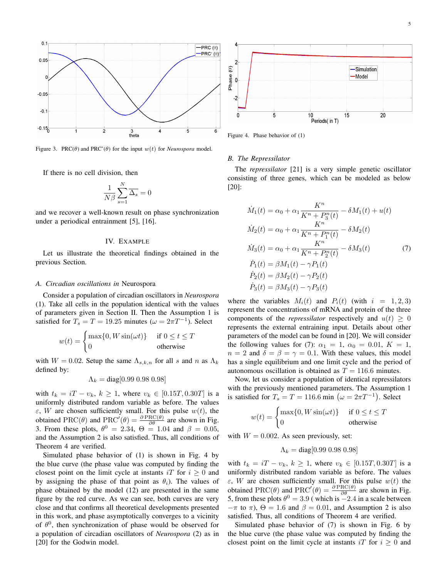

Figure 3. PRC( $\theta$ ) and PRC'( $\theta$ ) for the input  $w(t)$  for *Neurospora* model.

If there is no cell division, then

$$
\frac{1}{N\beta} \sum_{s=1}^{N} \overline{\Delta_s} = 0
$$

and we recover a well-known result on phase synchronization under a periodical entrainment [5], [16].

#### IV. EXAMPLE

Let us illustrate the theoretical findings obtained in the previous Section.

#### *A. Circadian oscillations in* Neurospora

Consider a population of circadian oscillators in *Neurospora* (1). Take all cells in the population identical with the values of parameters given in Section II. Then the Assumption 1 is satisfied for  $T_s = T = 19.25$  minutes ( $\omega = 2\pi T^{-1}$ ). Select

$$
w(t) = \begin{cases} \max\{0, W\sin(\omega t)\} & \text{if } 0 \le t \le T\\ 0 & \text{otherwise} \end{cases}
$$

with  $W = 0.02$ . Setup the same  $\Lambda_{s,k,n}$  for all s and n as  $\Lambda_k$ defined by:

$$
\Lambda_k = \text{diag}[0.99 \ 0.98 \ 0.98]
$$

with  $t_k = iT - v_k$ ,  $k \ge 1$ , where  $v_k \in [0.15T, 0.30T]$  is a uniformly distributed random variable as before. The values  $\varepsilon$ , W are chosen sufficiently small. For this pulse  $w(t)$ , the obtained PRC( $\theta$ ) and PRC'( $\theta$ ) =  $\frac{\partial \text{PRC}(\theta)}{\partial \theta}$  are shown in Fig. 3. From these plots,  $\theta^0 = 2.34$ ,  $\theta = 1.04$  and  $\beta = 0.05$ , and the Assumption 2 is also satisfied. Thus, all conditions of Theorem 4 are verified.

Simulated phase behavior of (1) is shown in Fig. 4 by the blue curve (the phase value was computed by finding the closest point on the limit cycle at instants iT for  $i \geq 0$  and by assigning the phase of that point as  $\theta_i$ ). The values of phase obtained by the model (12) are presented in the same figure by the red curve. As we can see, both curves are very close and that confirms all theoretical developments presented in this work, and phase asymptotically converges to a vicinity of  $\theta^0$ , then synchronization of phase would be observed for a population of circadian oscillators of *Neurospora* (2) as in [20] for the Godwin model.



Figure 4. Phase behavior of (1)

#### *B. The Repressilator*

The *repressilator* [21] is a very simple genetic oscillator consisting of three genes, which can be modeled as below [20]:

$$
\dot{M}_1(t) = \alpha_0 + \alpha_1 \frac{K^n}{K^n + P_3^n(t)} - \delta M_1(t) + u(t)
$$
\n
$$
\dot{M}_2(t) = \alpha_0 + \alpha_1 \frac{K^n}{K^n + P_1^n(t)} - \delta M_2(t)
$$
\n
$$
\dot{M}_3(t) = \alpha_0 + \alpha_1 \frac{K^n}{K^n + P_2^n(t)} - \delta M_3(t)
$$
\n
$$
\dot{P}_1(t) = \beta M_1(t) - \gamma P_1(t)
$$
\n
$$
\dot{P}_2(t) = \beta M_2(t) - \gamma P_2(t)
$$
\n
$$
\dot{P}_3(t) = \beta M_3(t) - \gamma P_3(t)
$$

where the variables  $M_i(t)$  and  $P_i(t)$  (with  $i = 1, 2, 3$ ) represent the concentrations of mRNA and protein of the three components of the *repressilator* respectively and  $u(t) > 0$ represents the external entraining input. Details about other parameters of the model can be found in [20]. We will consider the following values for (7):  $\alpha_1 = 1$ ,  $\alpha_0 = 0.01$ ,  $K = 1$ ,  $n = 2$  and  $\delta = \beta = \gamma = 0.1$ . With these values, this model has a single equilibrium and one limit cycle and the period of autonomous oscillation is obtained as  $T = 116.6$  minutes.

Now, let us consider a population of identical repressilators with the previously mentioned parameters. The Assumption 1 is satisfied for  $T_s = T = 116.6$  min  $(\omega = 2\pi T^{-1})$ . Select

$$
w(t) = \begin{cases} \max\{0, W\sin(\omega t)\} & \text{if } 0 \le t \le T \\ 0 & \text{otherwise} \end{cases}
$$

with  $W = 0.002$ . As seen previously, set:

$$
\Lambda_k = \text{diag}[0.99\ 0.98\ 0.98]
$$

with  $t_k = iT - v_k$ ,  $k \ge 1$ , where  $v_k \in [0.15T, 0.30T]$  is a uniformly distributed random variable as before. The values  $\varepsilon$ , W are chosen sufficiently small. For this pulse  $w(t)$  the obtained PRC( $\theta$ ) and PRC'( $\theta$ ) =  $\frac{\partial \text{PRC}(\theta)}{\partial \theta}$  are shown in Fig. 5, from these plots  $\theta^0 = 3.9$  (which is  $-2.4$  in a scale between  $-\pi$  to  $\pi$ ),  $\Theta = 1.6$  and  $\beta = 0.01$ , and Assumption 2 is also satisfied. Thus, all conditions of Theorem 4 are verified.

Simulated phase behavior of (7) is shown in Fig. 6 by the blue curve (the phase value was computed by finding the closest point on the limit cycle at instants iT for  $i \geq 0$  and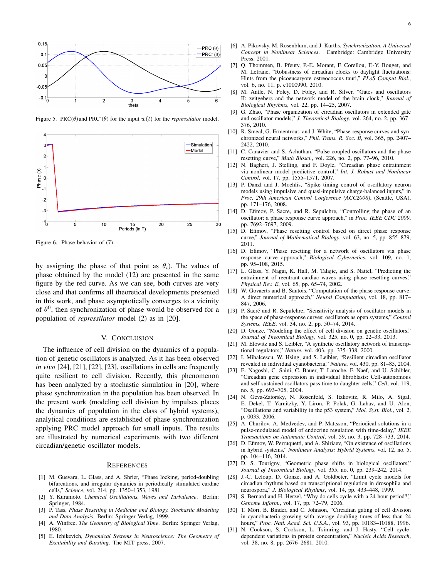

Figure 5. PRC( $\theta$ ) and PRC'( $\theta$ ) for the input  $w(t)$  for the *repressilator* model.



Figure 6. Phase behavior of (7)

by assigning the phase of that point as  $\theta_i$ ). The values of phase obtained by the model (12) are presented in the same figure by the red curve. As we can see, both curves are very close and that confirms all theoretical developments presented in this work, and phase asymptotically converges to a vicinity of  $\theta^0$ , then synchronization of phase would be observed for a population of *repressilator* model (2) as in [20].

#### V. CONCLUSION

The influence of cell division on the dynamics of a population of genetic oscillators is analyzed. As it has been observed *in vivo* [24], [21], [22], [23], oscillations in cells are frequently quite resilient to cell division. Recently, this phenomenon has been analyzed by a stochastic simulation in [20], where phase synchronization in the population has been observed. In the present work (modeling cell division by impulses places the dynamics of population in the class of hybrid systems), analytical conditions are established of phase synchronization applying PRC model approach for small inputs. The results are illustrated by numerical experiments with two different circadian/genetic oscillator models.

#### **REFERENCES**

- [1] M. Guevara, L. Glass, and A. Shrier, "Phase locking, period-doubling bifurcations, and irregular dynamics in periodically stimulated cardiac cells," *Science*, vol. 214, pp. 1350–1353, 1981.
- [2] Y. Kuramoto, *Chemical Oscillations, Waves and Turbulence*. Berlin: Springer, 1984.
- [3] P. Tass, *Phase Resetting in Medicine and Biology. Stochastic Modeling and Data Analysis*. Berlin: Springer Verlag, 1999.
- [4] A. Winfree, *The Geometry of Biological Time*. Berlin: Springer Verlag, 1980.
- [5] E. Izhikevich, *Dynamical Systems in Neuroscience: The Geometry of Excitability and Bursting*. The MIT press, 2007.
- [6] A. Pikovsky, M. Rosenblum, and J. Kurths, *Synchronization. A Universal Concept in Nonlinear Sciences*. Cambridge: Cambridge University Press, 2001.
- [7] Q. Thommen, B. Pfeuty, P.-E. Morant, F. Corellou, F.-Y. Bouget, and M. Lefranc, "Robustness of circadian clocks to daylight fluctuations: Hints from the picoeucaryote ostreococcus tauri," *PLoS Comput Biol.*, vol. 6, no. 11, p. e1000990, 2010.
- [8] M. Antle, N. Foley, D. Foley, and R. Silver, "Gates and oscillators II: zeitgebers and the network model of the brain clock," *Journal of Biological Rhythms*, vol. 22, pp. 14–25, 2007.
- [9] G. Zhao, "Phase organization of circadian oscillators in extended gate and oscillator models," *J. Theoretical Biology*, vol. 264, no. 2, pp. 367– 376, 2010.
- [10] R. Smeal, G. Ermentrout, and J. White, "Phase-response curves and synchronized neural networks," *Phil. Trans. R. Soc. B*, vol. 365, pp. 2407– 2422, 2010.
- [11] C. Canavier and S. Achuthan, "Pulse coupled oscillators and the phase resetting curve," *Math Biosci.*, vol. 226, no. 2, pp. 77–96, 2010.
- [12] N. Bagheri, J. Stelling, and F. Doyle, "Circadian phase entrainment via nonlinear model predictive control," *Int. J. Robust and Nonlinear Control*, vol. 17, pp. 1555–1571, 2007.
- [13] P. Danzl and J. Moehlis, "Spike timing control of oscillatory neuron models using impulsive and quasi-impulsive charge-balanced inputs," in *Proc. 29th American Control Conference (ACC2008)*, (Seattle, USA), pp. 171–176, 2008.
- [14] D. Efimov, P. Sacre, and R. Sepulchre, "Controlling the phase of an oscillator: a phase response curve approach," in *Proc. IEEE CDC 2009*, pp. 7692–7697, 2009.
- [15] D. Efimov, "Phase resetting control based on direct phase response curve," *Journal of Mathematical Biology*, vol. 63, no. 5, pp. 855–879, 2011.
- [16] D. Efimov, "Phase resetting for a network of oscillators via phase response curve approach," *Biological Cybernetics*, vol. 109, no. 1, pp. 95–108, 2015.
- [17] L. Glass, Y. Nagai, K. Hall, M. Talajic, and S. Nattel, "Predicting the entrainment of reentrant cardiac waves using phase resetting curves," *Physical Rev. E*, vol. 65, pp. 65–74, 2002.
- [18] W. Govaerts and B. Sautois, "Computation of the phase response curve: A direct numerical approach," *Neural Computation*, vol. 18, pp. 817– 847, 2006.
- [19] P. Sacré and R. Sepulchre, "Sensitivity analysis of oscillator models in the space of phase-response curves: oscillators as open systems," *Control Systems, IEEE*, vol. 34, no. 2, pp. 50–74, 2014.
- [20] D. Gonze, "Modeling the effect of cell division on genetic oscillators," *Journal of Theoretical Biology*, vol. 325, no. 0, pp. 22–33, 2013.
- [21] M. Elowitz and S. Leibler, "A synthetic oscillatory network of transcriptional regulators," *Nature*, vol. 403, pp. 335–338, 2000.
- [22] I. Mihalcescu, W. Hsing, and S. Leibler, "Resilient circadian oscillator revealed in individual cyanobacteria," *Nature*, vol. 430, pp. 81–85, 2004.
- [23] E. Nagoshi, C. Saini, C. Bauer, T. Laroche, F. Naef, and U. Schibler, "Circadian gene expression in individual fibroblasts: Cell-autonomous and self-sustained oscillators pass time to daughter cells," *Cell*, vol. 119, no. 5, pp. 693–705, 2004.
- [24] N. Geva-Zatorsky, N. Rosenfeld, S. Itzkovitz, R. Milo, A. Sigal, E. Dekel, T. Yarnitzky, Y. Liron, P. Polak, G. Lahav, and U. Alon, "Oscillations and variability in the p53 system," *Mol. Syst. Biol.*, vol. 2, p. 0033, 2006.
- [25] A. Churilov, A. Medvedev, and P. Mattsson, "Periodical solutions in a pulse-modulated model of endocrine regulation with time-delay," *IEEE Transactions on Automatic Control*, vol. 59, no. 3, pp. 728–733, 2014.
- [26] D. Efimov, W. Perruquetti, and A. Shiriaev, "On existence of oscillations in hybrid systems," *Nonlinear Analysis: Hybrid Systems*, vol. 12, no. 5, pp. 104–116, 2014.
- [27] D. S. Tourigny, "Geometric phase shifts in biological oscillators," *Journal of Theoretical Biology*, vol. 355, no. 0, pp. 239–242, 2014.
- [28] J.-C. Leloup, D. Gonze, and A. Goldbeter, "Limit cycle models for circadian rhythms based on transcriptional regulation in drosophila and neurospora," *J. Biological Rhythms*, vol. 14, pp. 433–448, 1999.
- [29] S. Bernard and H. Herzel, "Why do cells cycle with a 24 hour period?," *Genome Inform.*, vol. 17, pp. 72–79, 2006.
- [30] T. Mori, B. Binder, and C. Johnson, "Circadian gating of cell division in cyanobacteria growing with average doubling times of less than 24 hours," *Proc. Natl. Acad. Sci. U.S.A.*, vol. 93, pp. 10183–10188, 1996.
- [31] N. Cookson, S. Cookson, L. Tsimring, and J. Hasty, "Cell cycledependent variations in protein concentration," *Nucleic Acids Research*, vol. 38, no. 8, pp. 2676–2681, 2010.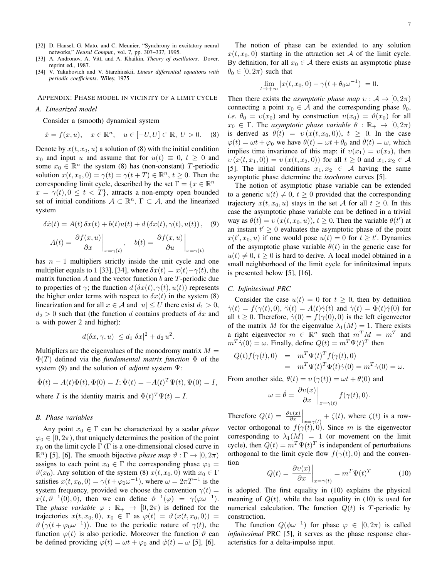- [32] D. Hansel, G. Mato, and C. Meunier, "Synchrony in excitatory neural networks," *Neural Comput.*, vol. 7, pp. 307–337, 1995.
- [33] A. Andronov, A. Vitt, and A. Khaikin, *Theory of oscillators*. Dover, reprint ed., 1987.
- [34] V. Yakubovich and V. Starzhinskii, *Linear differential equations with periodic coefficients*. Wiley, 1975.

APPENDIX: PHASE MODEL IN VICINITY OF A LIMIT CYCLE

#### *A. Linearized model*

Consider a (smooth) dynamical system

$$
\dot{x} = f(x, u), \quad x \in \mathbb{R}^n, \quad u \in [-U, U] \subset \mathbb{R}, \ U > 0. \tag{8}
$$

Denote by  $x(t, x_0, u)$  a solution of (8) with the initial condition  $x_0$  and input u and assume that for  $u(t) \equiv 0, t > 0$  and some  $x_0 \in \mathbb{R}^n$  the system (8) has (non-constant) T-periodic solution  $x(t, x_0, 0) = \gamma(t) = \gamma(t + T) \in \mathbb{R}^n$ ,  $t \ge 0$ . Then the corresponding limit cycle, described by the set  $\Gamma = \{x \in \mathbb{R}^n \mid \mathbb{R}^n\}$  $x = \gamma(t)$ ,  $0 \le t < T$ , attracts a non-empty open bounded set of initial conditions  $A \subset \mathbb{R}^n$ ,  $\Gamma \subset A$ , and the linearized system

$$
\delta \dot{x}(t) = A(t)\,\delta x(t) + b(t)u(t) + d\left(\delta x(t), \gamma(t), u(t)\right), \quad (9)
$$

$$
A(t) = \left. \frac{\partial f(x, u)}{\partial x} \right|_{x = \gamma(t)}, \quad b(t) = \left. \frac{\partial f(x, u)}{\partial u} \right|_{x = \gamma(t)}
$$

has  $n - 1$  multipliers strictly inside the unit cycle and one multiplier equals to 1 [33], [34], where  $\delta x(t) = x(t) - \gamma(t)$ , the matrix function A and the vector function b are  $T$ -periodic due to properties of  $\gamma$ ; the function  $d(\delta x(t), \gamma(t), u(t))$  represents the higher order terms with respect to  $\delta x(t)$  in the system (8) linearization and for all  $x \in A$  and  $|u| \leq U$  there exist  $d_1 > 0$ ,  $d_2 > 0$  such that (the function d contains products of  $\delta x$  and  $u$  with power 2 and higher):

$$
|d(\delta x, \gamma, u)| \le d_1 |\delta x|^2 + d_2 u^2.
$$

Multipliers are the eigenvalues of the monodromy matrix  $M =$ Φ(T) defined via the *fundamental matrix function* Φ of the system (9) and the solution of *adjoint* system Ψ:

$$
\dot{\Phi}(t) = A(t)\Phi(t), \Phi(0) = I; \dot{\Psi}(t) = -A(t)^T \Psi(t), \Psi(0) = I,
$$

where *I* is the identity matrix and  $\Phi(t)^T \Psi(t) = I$ .

#### *B. Phase variables*

Any point  $x_0 \in \Gamma$  can be characterized by a scalar *phase*  $\varphi_0 \in [0, 2\pi)$ , that uniquely determines the position of the point  $x_0$  on the limit cycle  $\Gamma$  ( $\Gamma$  is a one-dimensional closed curve in  $\mathbb{R}^n$ ) [5], [6]. The smooth bijective *phase map*  $\vartheta : \Gamma \to [0, 2\pi)$ assigns to each point  $x_0 \in \Gamma$  the corresponding phase  $\varphi_0 =$  $\vartheta(x_0)$ . Any solution of the system (8)  $x(t, x_0, 0)$  with  $x_0 \in \Gamma$ satisfies  $x(t, x_0, 0) = \gamma(t + \varphi_0 \omega^{-1})$ , where  $\omega = 2\pi T^{-1}$  is the system frequency, provided we choose the convention  $\gamma(t)$  =  $x(t, \vartheta^{-1}(0), 0)$ , then we can define  $\vartheta^{-1}(\varphi) = \gamma(\varphi \omega^{-1})$ . The *phase variable*  $\varphi : \mathbb{R}_+ \to [0, 2\pi)$  is defined for the trajectories  $x(t, x_0, 0), x_0 \in \Gamma$  as  $\varphi(t) = \vartheta(x(t, x_0, 0)) =$  $\vartheta\left(\gamma(t+\varphi_0\omega^{-1})\right)$ . Due to the periodic nature of  $\gamma(t)$ , the function  $\varphi(t)$  is also periodic. Moreover the function  $\vartheta$  can be defined providing  $\varphi(t) = \omega t + \varphi_0$  and  $\dot{\varphi}(t) = \omega$  [5], [6].

The notion of phase can be extended to any solution  $x(t, x_0, 0)$  starting in the attraction set A of the limit cycle. By definition, for all  $x_0 \in A$  there exists an asymptotic phase  $\theta_0 \in [0, 2\pi)$  such that

$$
\lim_{t \to +\infty} |x(t, x_0, 0) - \gamma(t + \theta_0 \omega^{-1})| = 0.
$$

Then there exists the *asymptotic phase map*  $v : A \rightarrow [0, 2\pi)$ connecting a point  $x_0 \in A$  and the corresponding phase  $\theta_0$ , *i.e.*  $\theta_0 = v(x_0)$  and by construction  $v(x_0) = \vartheta(x_0)$  for all  $x_0 \in \Gamma$ . The *asymptotic phase variable*  $\theta : \mathbb{R}_+ \to [0, 2\pi)$ is derived as  $\theta(t) = v(x(t, x_0, 0))$ ,  $t \ge 0$ . In the case  $\varphi(t) = \omega t + \varphi_0$  we have  $\theta(t) = \omega t + \theta_0$  and  $\theta(t) = \omega$ , which implies time invariance of this map: if  $v(x_1) = v(x_2)$ , then  $v(x(t, x_1, 0)) = v(x(t, x_2, 0))$  for all  $t \ge 0$  and  $x_1, x_2 \in A$ [5]. The initial conditions  $x_1, x_2 \in \mathcal{A}$  having the same asymptotic phase determine the *isochrone* curves [5].

The notion of asymptotic phase variable can be extended to a generic  $u(t) \neq 0, t \geq 0$  provided that the corresponding trajectory  $x(t, x_0, u)$  stays in the set A for all  $t \geq 0$ . In this case the asymptotic phase variable can be defined in a trivial way as  $\theta(t) = v(x(t, x_0, u))$ ,  $t \ge 0$ . Then the variable  $\theta(t')$  at an instant  $t' \geq 0$  evaluates the asymptotic phase of the point  $x(t', x_0, u)$  if one would pose  $u(t) = 0$  for  $t \ge t'$ . Dynamics of the asymptotic phase variable  $\theta(t)$  in the generic case for  $u(t) \neq 0, t \geq 0$  is hard to derive. A local model obtained in a small neighborhood of the limit cycle for infinitesimal inputs is presented below [5], [16].

#### *C. Infinitesimal PRC*

Consider the case  $u(t) = 0$  for  $t \ge 0$ , then by definition  $\dot{\gamma}(t) = f(\gamma(t), 0), \ \ddot{\gamma}(t) = A(t)\dot{\gamma}(t)$  and  $\dot{\gamma}(t) = \Phi(t)\dot{\gamma}(0)$  for all  $t \geq 0$ . Therefore,  $\dot{\gamma}(0) = f(\gamma(0), 0)$  is the left eigenvector of the matrix M for the eigenvalue  $\lambda_1(M) = 1$ . There exists a right eigenvector  $m \in \mathbb{R}^n$  such that  $m^T M = m^T$  and  $m^T \dot{\gamma}(0) = \omega$ . Finally, define  $Q(t) = m^T \Psi(t)^T$  then

$$
Q(t)f(\gamma(t),0) = m^T \Psi(t)^T f(\gamma(t),0)
$$
  
= 
$$
m^T \Psi(t)^T \Phi(t)\dot{\gamma}(0) = m^T \dot{\gamma}(0) = \omega.
$$

From another side,  $\theta(t) = v(\gamma(t)) = \omega t + \theta(0)$  and

$$
\omega = \dot{\theta} = \left. \frac{\partial v(x)}{\partial x} \right|_{x = \gamma(t)} f(\gamma(t), 0).
$$

Therefore  $Q(t) = \frac{\partial v(x)}{\partial x}\Big|_{x = \gamma(t)} + \zeta(t)$ , where  $\zeta(t)$  is a rowvector orthogonal to  $f(\gamma(t), 0)$ . Since m is the eigenvector corresponding to  $\lambda_1(M) = 1$  (or movement on the limit cycle), then  $Q(t) = m^T \Psi(t)^T$  is independent of perturbations orthogonal to the limit cycle flow  $f(\gamma(t), 0)$  and the convention  $\sim$   $\sim$   $\sim$   $\sim$ 

$$
Q(t) = \frac{\partial v(x)}{\partial x}\bigg|_{x = \gamma(t)} = m^T \Psi(t)^T \tag{10}
$$

is adopted. The first equality in (10) explains the physical meaning of  $Q(t)$ , while the last equality in (10) is used for numerical calculation. The function  $Q(t)$  is T-periodic by construction.

The function  $Q(\phi\omega^{-1})$  for phase  $\varphi \in [0, 2\pi)$  is called *infinitesimal* PRC [5], it serves as the phase response characteristics for a delta-impulse input.